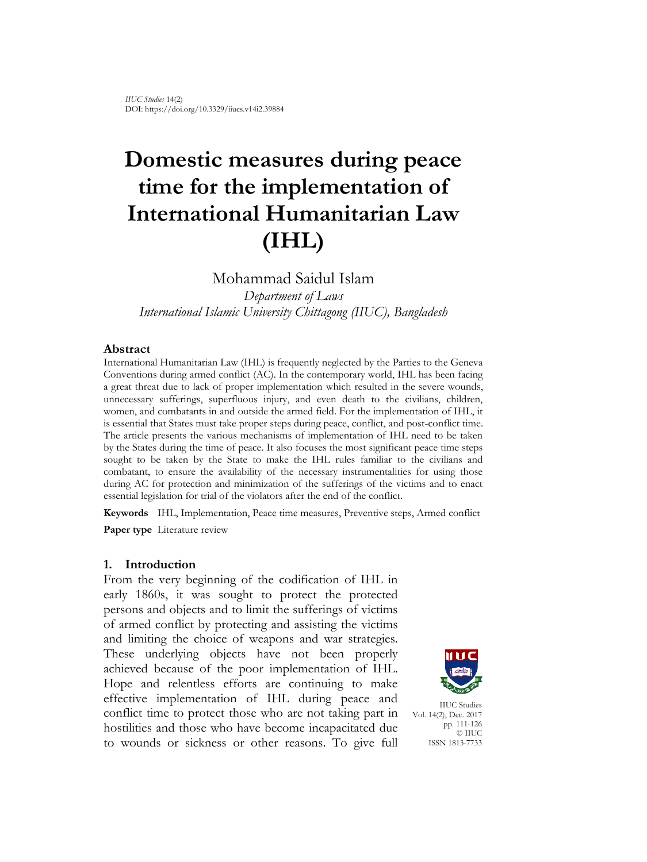# **Domestic measures during peace time for the implementation of International Humanitarian Law (IHL)**

Mohammad Saidul Islam *Department of Laws International Islamic University Chittagong (IIUC), Bangladesh*

#### **Abstract**

International Humanitarian Law (IHL) is frequently neglected by the Parties to the Geneva Conventions during armed conflict (AC). In the contemporary world, IHL has been facing a great threat due to lack of proper implementation which resulted in the severe wounds, unnecessary sufferings, superfluous injury, and even death to the civilians, children, women, and combatants in and outside the armed field. For the implementation of IHL, it is essential that States must take proper steps during peace, conflict, and post-conflict time. The article presents the various mechanisms of implementation of IHL need to be taken by the States during the time of peace. It also focuses the most significant peace time steps sought to be taken by the State to make the IHL rules familiar to the civilians and combatant, to ensure the availability of the necessary instrumentalities for using those during AC for protection and minimization of the sufferings of the victims and to enact essential legislation for trial of the violators after the end of the conflict.

**Keywords** IHL, Implementation, Peace time measures, Preventive steps, Armed conflict **Paper type** Literature review

#### **1. Introduction**

From the very beginning of the codification of IHL in early 1860s, it was sought to protect the protected persons and objects and to limit the sufferings of victims of armed conflict by protecting and assisting the victims and limiting the choice of weapons and war strategies. These underlying objects have not been properly achieved because of the poor implementation of IHL. Hope and relentless efforts are continuing to make effective implementation of IHL during peace and conflict time to protect those who are not taking part in hostilities and those who have become incapacitated due to wounds or sickness or other reasons. To give full



IIUC Studies Vol. 14(2), Dec. 2017 pp. 111-126 © IIUC ISSN 1813-7733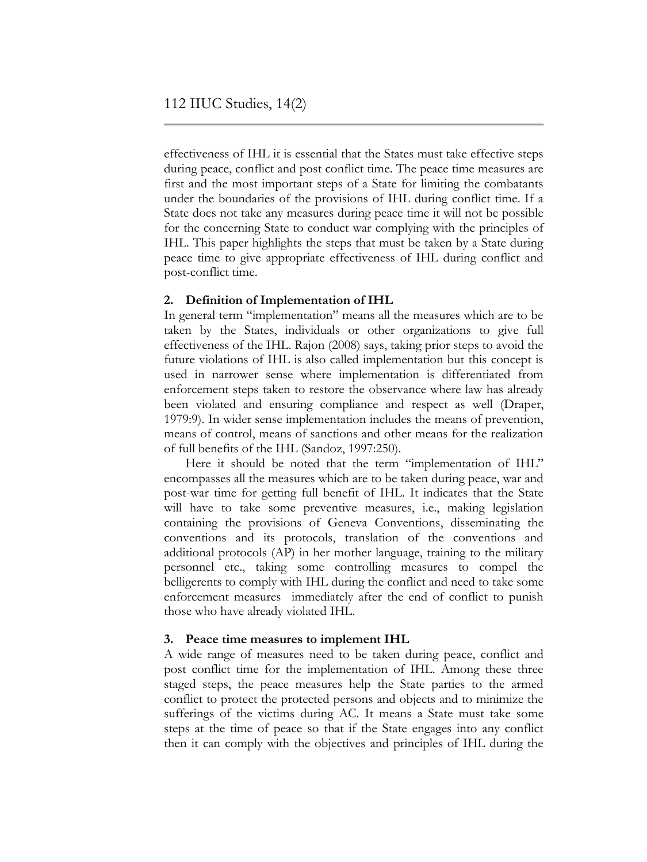effectiveness of IHL it is essential that the States must take effective steps during peace, conflict and post conflict time. The peace time measures are first and the most important steps of a State for limiting the combatants under the boundaries of the provisions of IHL during conflict time. If a State does not take any measures during peace time it will not be possible for the concerning State to conduct war complying with the principles of IHL. This paper highlights the steps that must be taken by a State during peace time to give appropriate effectiveness of IHL during conflict and post-conflict time.

## **2. Definition of Implementation of IHL**

In general term "implementation" means all the measures which are to be taken by the States, individuals or other organizations to give full effectiveness of the IHL. Rajon (2008) says, taking prior steps to avoid the future violations of IHL is also called implementation but this concept is used in narrower sense where implementation is differentiated from enforcement steps taken to restore the observance where law has already been violated and ensuring compliance and respect as well (Draper, 1979:9). In wider sense implementation includes the means of prevention, means of control, means of sanctions and other means for the realization of full benefits of the IHL (Sandoz, 1997:250).

Here it should be noted that the term "implementation of IHL" encompasses all the measures which are to be taken during peace, war and post-war time for getting full benefit of IHL. It indicates that the State will have to take some preventive measures, i.e., making legislation containing the provisions of Geneva Conventions, disseminating the conventions and its protocols, translation of the conventions and additional protocols (AP) in her mother language, training to the military personnel etc., taking some controlling measures to compel the belligerents to comply with IHL during the conflict and need to take some enforcement measures immediately after the end of conflict to punish those who have already violated IHL.

## **3. Peace time measures to implement IHL**

A wide range of measures need to be taken during peace, conflict and post conflict time for the implementation of IHL. Among these three staged steps, the peace measures help the State parties to the armed conflict to protect the protected persons and objects and to minimize the sufferings of the victims during AC. It means a State must take some steps at the time of peace so that if the State engages into any conflict then it can comply with the objectives and principles of IHL during the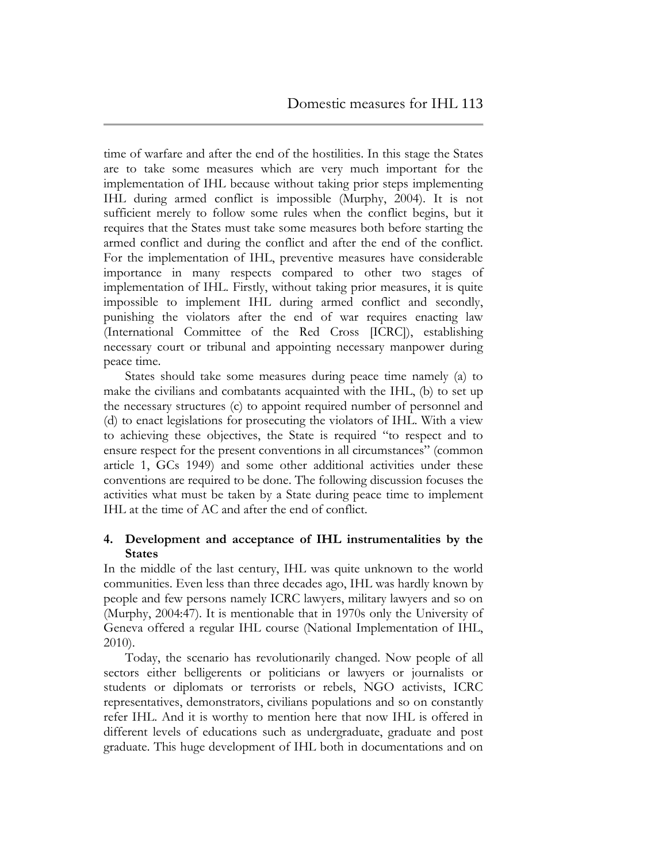time of warfare and after the end of the hostilities. In this stage the States are to take some measures which are very much important for the implementation of IHL because without taking prior steps implementing IHL during armed conflict is impossible (Murphy, 2004). It is not sufficient merely to follow some rules when the conflict begins, but it requires that the States must take some measures both before starting the armed conflict and during the conflict and after the end of the conflict. For the implementation of IHL, preventive measures have considerable importance in many respects compared to other two stages of implementation of IHL. Firstly, without taking prior measures, it is quite impossible to implement IHL during armed conflict and secondly, punishing the violators after the end of war requires enacting law (International Committee of the Red Cross [ICRC]), establishing necessary court or tribunal and appointing necessary manpower during peace time.

States should take some measures during peace time namely (a) to make the civilians and combatants acquainted with the IHL, (b) to set up the necessary structures (c) to appoint required number of personnel and (d) to enact legislations for prosecuting the violators of IHL. With a view to achieving these objectives, the State is required "to respect and to ensure respect for the present conventions in all circumstances" (common article 1, GCs 1949) and some other additional activities under these conventions are required to be done. The following discussion focuses the activities what must be taken by a State during peace time to implement IHL at the time of AC and after the end of conflict.

## **4. Development and acceptance of IHL instrumentalities by the States**

In the middle of the last century, IHL was quite unknown to the world communities. Even less than three decades ago, IHL was hardly known by people and few persons namely ICRC lawyers, military lawyers and so on (Murphy, 2004:47). It is mentionable that in 1970s only the University of Geneva offered a regular IHL course (National Implementation of IHL, 2010).

Today, the scenario has revolutionarily changed. Now people of all sectors either belligerents or politicians or lawyers or journalists or students or diplomats or terrorists or rebels, NGO activists, ICRC representatives, demonstrators, civilians populations and so on constantly refer IHL. And it is worthy to mention here that now IHL is offered in different levels of educations such as undergraduate, graduate and post graduate. This huge development of IHL both in documentations and on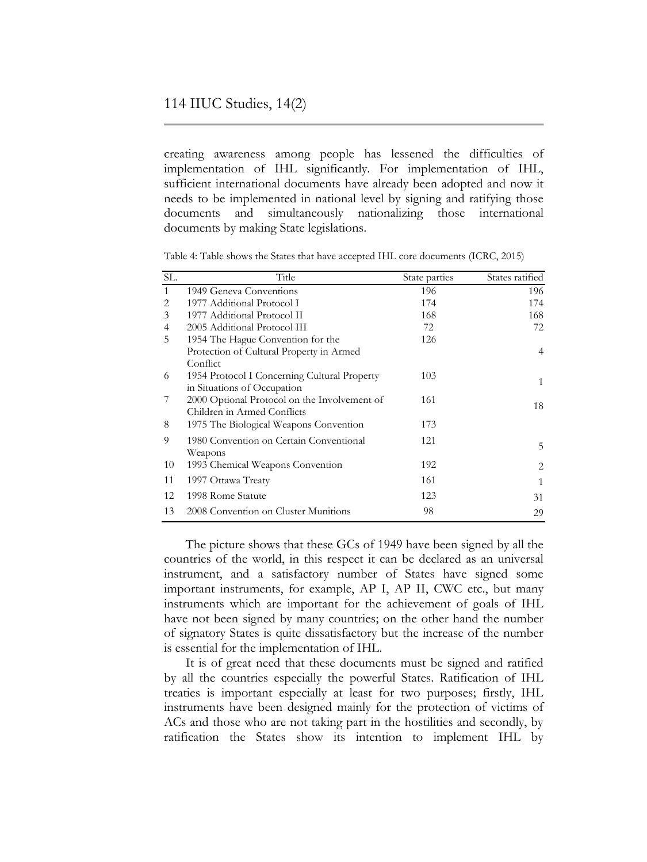creating awareness among people has lessened the difficulties of implementation of IHL significantly. For implementation of IHL, sufficient international documents have already been adopted and now it needs to be implemented in national level by signing and ratifying those documents and simultaneously nationalizing those international documents by making State legislations.

| SL. | Title                                        | State parties | States ratified |
|-----|----------------------------------------------|---------------|-----------------|
| 1   | 1949 Geneva Conventions                      | 196           | 196             |
| 2   | 1977 Additional Protocol I                   | 174           | 174             |
| 3   | 1977 Additional Protocol II                  | 168           | 168             |
| 4   | 2005 Additional Protocol III                 | 72            | 72              |
| 5   | 1954 The Hague Convention for the            | 126           |                 |
|     | Protection of Cultural Property in Armed     |               | $\overline{4}$  |
|     | Conflict                                     |               |                 |
| 6   | 1954 Protocol I Concerning Cultural Property | 103           | 1               |
|     | in Situations of Occupation                  |               |                 |
| 7   | 2000 Optional Protocol on the Involvement of | 161           | 18              |
|     | Children in Armed Conflicts                  |               |                 |
| 8   | 1975 The Biological Weapons Convention       | 173           |                 |
| 9   | 1980 Convention on Certain Conventional      | 121           |                 |
|     | Weapons                                      |               | 5               |
| 10  | 1993 Chemical Weapons Convention             | 192           | 2               |
| 11  | 1997 Ottawa Treaty                           | 161           | 1               |
| 12  | 1998 Rome Statute                            | 123           | 31              |
| 13  | 2008 Convention on Cluster Munitions         | 98            | 29              |

Table 4: Table shows the States that have accepted IHL core documents (ICRC, 2015)

The picture shows that these GCs of 1949 have been signed by all the countries of the world, in this respect it can be declared as an universal instrument, and a satisfactory number of States have signed some important instruments, for example, AP I, AP II, CWC etc., but many instruments which are important for the achievement of goals of IHL have not been signed by many countries; on the other hand the number of signatory States is quite dissatisfactory but the increase of the number is essential for the implementation of IHL.

It is of great need that these documents must be signed and ratified by all the countries especially the powerful States. Ratification of IHL treaties is important especially at least for two purposes; firstly, IHL instruments have been designed mainly for the protection of victims of ACs and those who are not taking part in the hostilities and secondly, by ratification the States show its intention to implement IHL by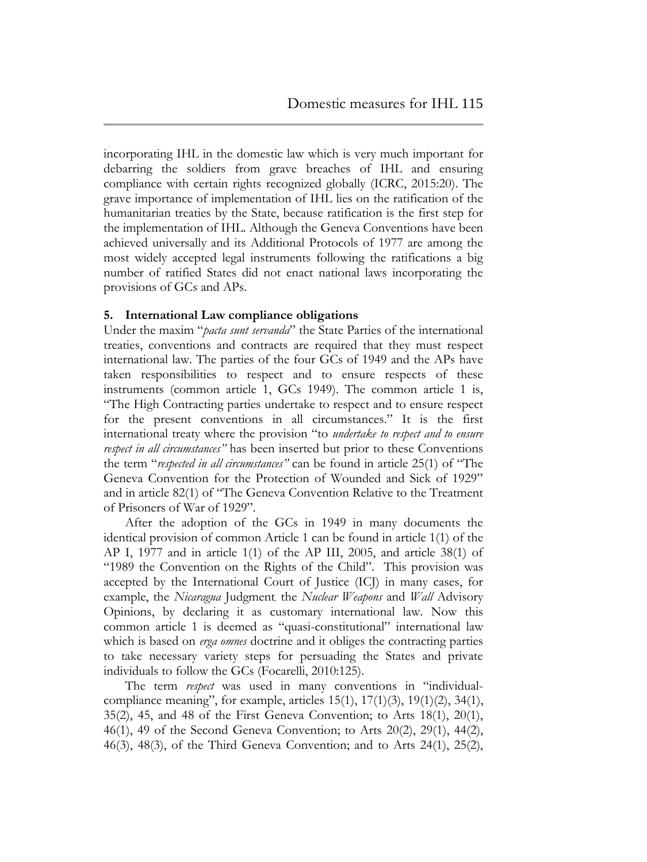incorporating IHL in the domestic law which is very much important for debarring the soldiers from grave breaches of IHL and ensuring compliance with certain rights recognized globally (ICRC, 2015:20). The grave importance of implementation of IHL lies on the ratification of the humanitarian treaties by the State, because ratification is the first step for the implementation of IHL. Although the Geneva Conventions have been achieved universally and its Additional Protocols of 1977 are among the most widely accepted legal instruments following the ratifications a big number of ratified States did not enact national laws incorporating the provisions of GCs and APs.

#### **5. International Law compliance obligations**

Under the maxim "*pacta sunt servanda*" the State Parties of the international treaties, conventions and contracts are required that they must respect international law. The parties of the four GCs of 1949 and the APs have taken responsibilities to respect and to ensure respects of these instruments (common article 1, GCs 1949). The common article 1 is, "The High Contracting parties undertake to respect and to ensure respect for the present conventions in all circumstances." It is the first international treaty where the provision "to *undertake to respect and to ensure respect in all circumstances*" has been inserted but prior to these Conventions the term "*respected in all circumstances"* can be found in article 25(1) of "The Geneva Convention for the Protection of Wounded and Sick of 1929" and in article 82(1) of "The Geneva Convention Relative to the Treatment of Prisoners of War of 1929".

After the adoption of the GCs in 1949 in many documents the identical provision of common Article 1 can be found in article 1(1) of the AP I, 1977 and in article 1(1) of the AP III, 2005, and article 38(1) of "1989 the Convention on the Rights of the Child". This provision was accepted by the International Court of Justice (ICJ) in many cases, for example, the *Nicaragua* Judgment, the *Nuclear Weapons* and *Wall* Advisory Opinions, by declaring it as customary international law. Now this common article 1 is deemed as "quasi-constitutional" international law which is based on *erga omnes* doctrine and it obliges the contracting parties to take necessary variety steps for persuading the States and private individuals to follow the GCs (Focarelli, 2010:125).

The term *respect* was used in many conventions in "individualcompliance meaning", for example, articles  $15(1)$ ,  $17(1)(3)$ ,  $19(1)(2)$ ,  $34(1)$ , 35(2), 45, and 48 of the First Geneva Convention; to Arts 18(1), 20(1), 46(1), 49 of the Second Geneva Convention; to Arts 20(2), 29(1), 44(2), 46(3), 48(3), of the Third Geneva Convention; and to Arts 24(1), 25(2),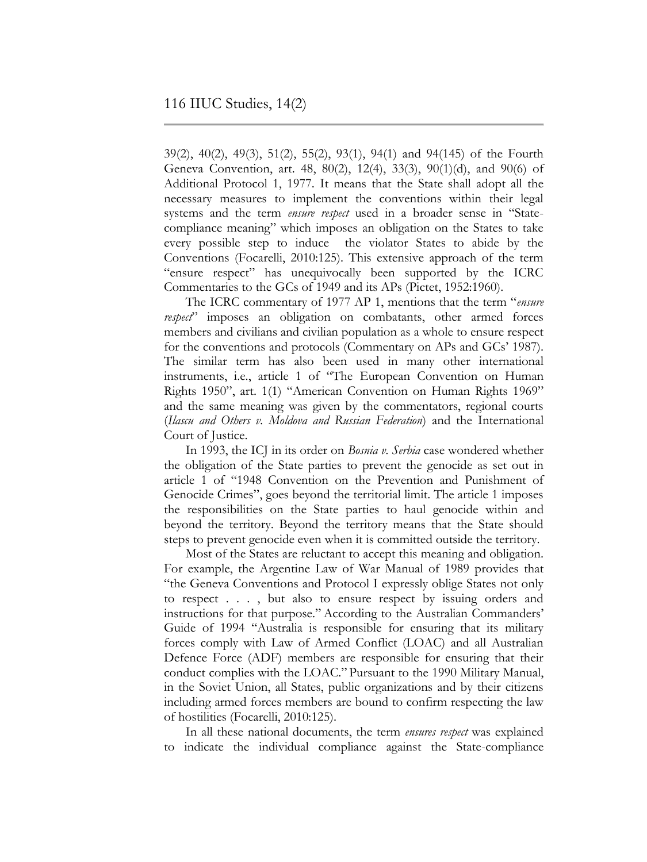39(2), 40(2), 49(3), 51(2), 55(2), 93(1), 94(1) and 94(145) of the Fourth Geneva Convention, art. 48, 80(2), 12(4), 33(3), 90(1)(d), and 90(6) of Additional Protocol 1, 1977. It means that the State shall adopt all the necessary measures to implement the conventions within their legal systems and the term *ensure respect* used in a broader sense in "Statecompliance meaning" which imposes an obligation on the States to take every possible step to induce the violator States to abide by the Conventions (Focarelli, 2010:125). This extensive approach of the term "ensure respect" has unequivocally been supported by the ICRC Commentaries to the GCs of 1949 and its APs (Pictet, 1952:1960).

The ICRC commentary of 1977 AP 1, mentions that the term "*ensure respect*" imposes an obligation on combatants, other armed forces members and civilians and civilian population as a whole to ensure respect for the conventions and protocols (Commentary on APs and GCs' 1987). The similar term has also been used in many other international instruments, i.e., article 1 of "The European Convention on Human Rights 1950", art. 1(1) "American Convention on Human Rights 1969" and the same meaning was given by the commentators, regional courts (*Ilascu and Others v. Moldova and Russian Federation*) and the International Court of Justice.

In 1993, the ICJ in its order on *Bosnia v. Serbia* case wondered whether the obligation of the State parties to prevent the genocide as set out in article 1 of "1948 Convention on the Prevention and Punishment of Genocide Crimes", goes beyond the territorial limit. The article 1 imposes the responsibilities on the State parties to haul genocide within and beyond the territory. Beyond the territory means that the State should steps to prevent genocide even when it is committed outside the territory.

Most of the States are reluctant to accept this meaning and obligation. For example, the Argentine Law of War Manual of 1989 provides that "the Geneva Conventions and Protocol I expressly oblige States not only to respect . . . , but also to ensure respect by issuing orders and instructions for that purpose." According to the Australian Commanders" Guide of 1994 "Australia is responsible for ensuring that its military forces comply with Law of Armed Conflict (LOAC) and all Australian Defence Force (ADF) members are responsible for ensuring that their conduct complies with the LOAC." Pursuant to the 1990 Military Manual, in the Soviet Union, all States, public organizations and by their citizens including armed forces members are bound to confirm respecting the law of hostilities (Focarelli, 2010:125).

In all these national documents, the term *ensures respect* was explained to indicate the individual compliance against the State-compliance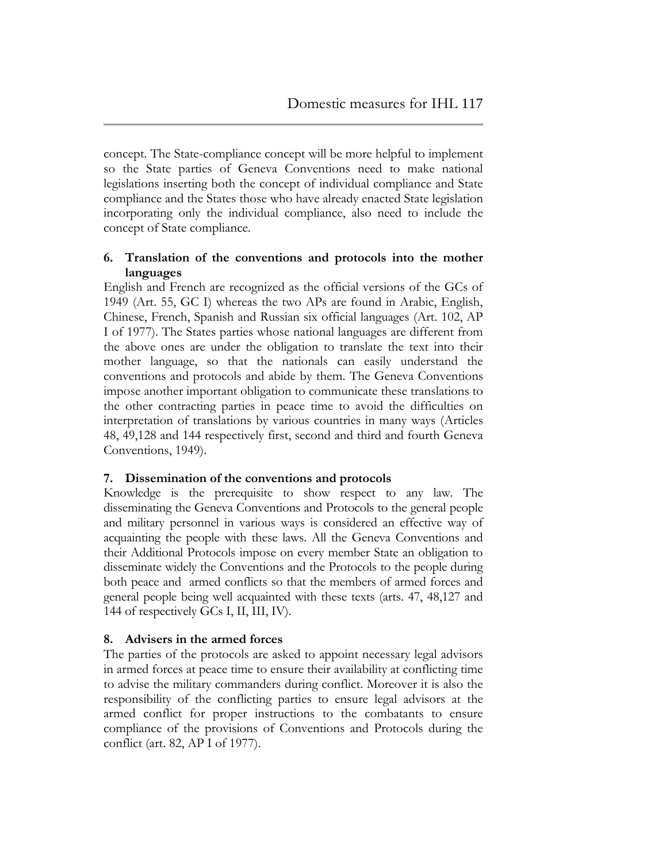concept. The State-compliance concept will be more helpful to implement so the State parties of Geneva Conventions need to make national legislations inserting both the concept of individual compliance and State compliance and the States those who have already enacted State legislation incorporating only the individual compliance, also need to include the concept of State compliance.

## **6. Translation of the conventions and protocols into the mother languages**

English and French are recognized as the official versions of the GCs of 1949 (Art. 55, GC I) whereas the two APs are found in Arabic, English, Chinese, French, Spanish and Russian six official languages (Art. 102, AP I of 1977). The States parties whose national languages are different from the above ones are under the obligation to translate the text into their mother language, so that the nationals can easily understand the conventions and protocols and abide by them. The Geneva Conventions impose another important obligation to communicate these translations to the other contracting parties in peace time to avoid the difficulties on interpretation of translations by various countries in many ways (Articles 48, 49,128 and 144 respectively first, second and third and fourth Geneva Conventions, 1949).

## **7. Dissemination of the conventions and protocols**

Knowledge is the prerequisite to show respect to any law. The disseminating the Geneva Conventions and Protocols to the general people and military personnel in various ways is considered an effective way of acquainting the people with these laws. All the Geneva Conventions and their Additional Protocols impose on every member State an obligation to disseminate widely the Conventions and the Protocols to the people during both peace and armed conflicts so that the members of armed forces and general people being well acquainted with these texts (arts. 47, 48,127 and 144 of respectively GCs I, II, III, IV).

# **8. Advisers in the armed forces**

The parties of the protocols are asked to appoint necessary legal advisors in armed forces at peace time to ensure their availability at conflicting time to advise the military commanders during conflict. Moreover it is also the responsibility of the conflicting parties to ensure legal advisors at the armed conflict for proper instructions to the combatants to ensure compliance of the provisions of Conventions and Protocols during the conflict (art. 82, AP I of 1977).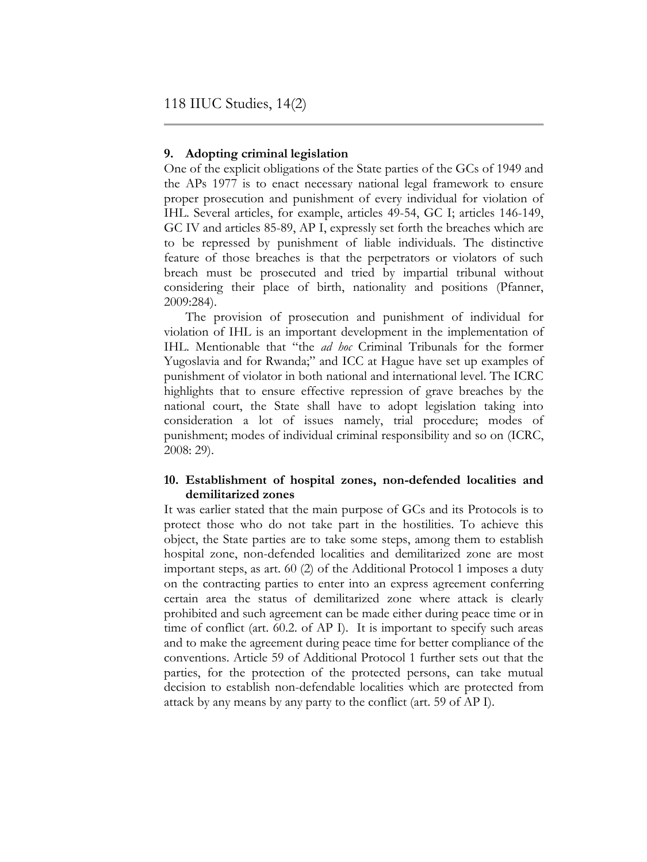#### **9. Adopting criminal legislation**

One of the explicit obligations of the State parties of the GCs of 1949 and the APs 1977 is to enact necessary national legal framework to ensure proper prosecution and punishment of every individual for violation of IHL. Several articles, for example, articles 49-54, GC I; articles 146-149, GC IV and articles 85-89, AP I, expressly set forth the breaches which are to be repressed by punishment of liable individuals. The distinctive feature of those breaches is that the perpetrators or violators of such breach must be prosecuted and tried by impartial tribunal without considering their place of birth, nationality and positions (Pfanner, 2009:284).

The provision of prosecution and punishment of individual for violation of IHL is an important development in the implementation of IHL. Mentionable that "the *ad hoc* Criminal Tribunals for the former Yugoslavia and for Rwanda;" and ICC at Hague have set up examples of punishment of violator in both national and international level. The ICRC highlights that to ensure effective repression of grave breaches by the national court, the State shall have to adopt legislation taking into consideration a lot of issues namely, trial procedure; modes of punishment; modes of individual criminal responsibility and so on (ICRC, 2008: 29).

## **10. Establishment of hospital zones, non-defended localities and demilitarized zones**

It was earlier stated that the main purpose of GCs and its Protocols is to protect those who do not take part in the hostilities. To achieve this object, the State parties are to take some steps, among them to establish hospital zone, non-defended localities and demilitarized zone are most important steps, as art. 60 (2) of the Additional Protocol 1 imposes a duty on the contracting parties to enter into an express agreement conferring certain area the status of demilitarized zone where attack is clearly prohibited and such agreement can be made either during peace time or in time of conflict (art. 60.2. of AP I). It is important to specify such areas and to make the agreement during peace time for better compliance of the conventions. Article 59 of Additional Protocol 1 further sets out that the parties, for the protection of the protected persons, can take mutual decision to establish non-defendable localities which are protected from attack by any means by any party to the conflict (art. 59 of AP I).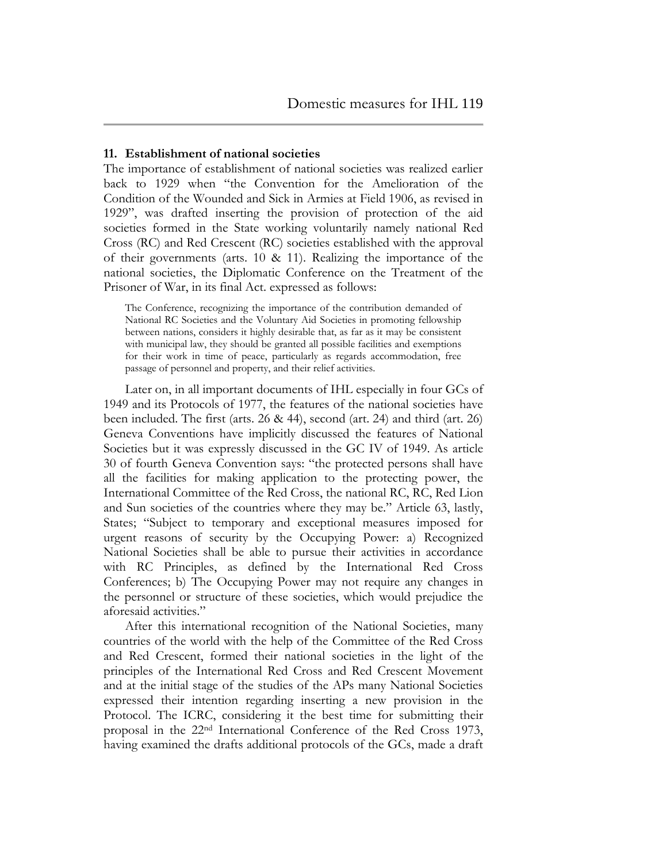#### **11. Establishment of national societies**

The importance of establishment of national societies was realized earlier back to 1929 when "the Convention for the Amelioration of the Condition of the Wounded and Sick in Armies at Field 1906, as revised in 1929", was drafted inserting the provision of protection of the aid societies formed in the State working voluntarily namely national Red Cross (RC) and Red Crescent (RC) societies established with the approval of their governments (arts.  $10 \& 11$ ). Realizing the importance of the national societies, the Diplomatic Conference on the Treatment of the Prisoner of War, in its final Act. expressed as follows:

The Conference, recognizing the importance of the contribution demanded of National RC Societies and the Voluntary Aid Societies in promoting fellowship between nations, considers it highly desirable that, as far as it may be consistent with municipal law, they should be granted all possible facilities and exemptions for their work in time of peace, particularly as regards accommodation, free passage of personnel and property, and their relief activities.

Later on, in all important documents of IHL especially in four GCs of 1949 and its Protocols of 1977, the features of the national societies have been included. The first (arts. 26 & 44), second (art. 24) and third (art. 26) Geneva Conventions have implicitly discussed the features of National Societies but it was expressly discussed in the GC IV of 1949. As article 30 of fourth Geneva Convention says: "the protected persons shall have all the facilities for making application to the protecting power, the International Committee of the Red Cross, the national RC, RC, Red Lion and Sun societies of the countries where they may be." Article 63, lastly, States; "Subject to temporary and exceptional measures imposed for urgent reasons of security by the Occupying Power: a) Recognized National Societies shall be able to pursue their activities in accordance with RC Principles, as defined by the International Red Cross Conferences; b) The Occupying Power may not require any changes in the personnel or structure of these societies, which would prejudice the aforesaid activities."

After this international recognition of the National Societies, many countries of the world with the help of the Committee of the Red Cross and Red Crescent, formed their national societies in the light of the principles of the International Red Cross and Red Crescent Movement and at the initial stage of the studies of the APs many National Societies expressed their intention regarding inserting a new provision in the Protocol. The ICRC, considering it the best time for submitting their proposal in the 22nd International Conference of the Red Cross 1973, having examined the drafts additional protocols of the GCs, made a draft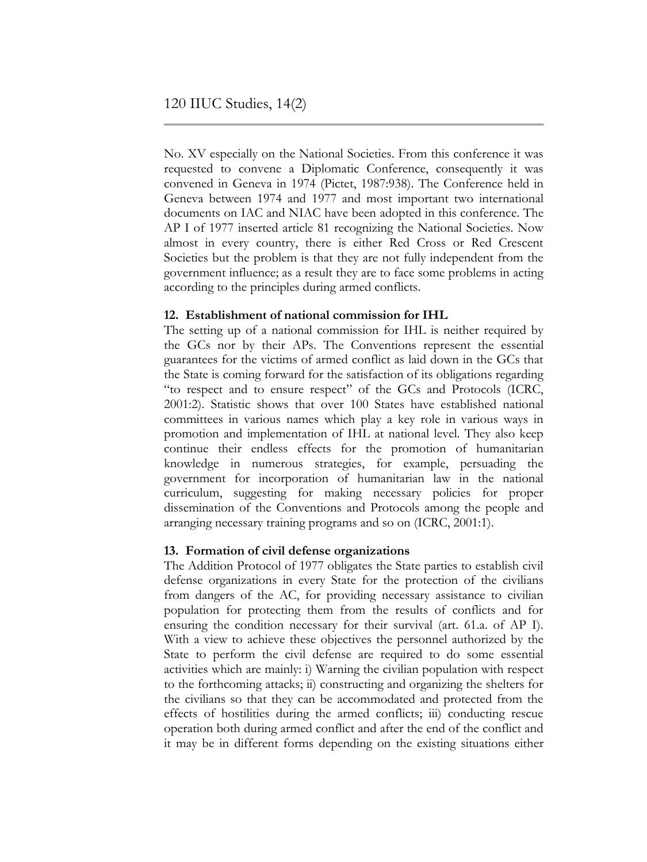No. XV especially on the National Societies. From this conference it was requested to convene a Diplomatic Conference, consequently it was convened in Geneva in 1974 (Pictet, 1987:938). The Conference held in Geneva between 1974 and 1977 and most important two international documents on IAC and NIAC have been adopted in this conference. The AP I of 1977 inserted article 81 recognizing the National Societies. Now almost in every country, there is either Red Cross or Red Crescent Societies but the problem is that they are not fully independent from the government influence; as a result they are to face some problems in acting according to the principles during armed conflicts.

## **12. Establishment of national commission for IHL**

The setting up of a national commission for IHL is neither required by the GCs nor by their APs. The Conventions represent the essential guarantees for the victims of armed conflict as laid down in the GCs that the State is coming forward for the satisfaction of its obligations regarding "to respect and to ensure respect" of the GCs and Protocols (ICRC, 2001:2). Statistic shows that over 100 States have established national committees in various names which play a key role in various ways in promotion and implementation of IHL at national level. They also keep continue their endless effects for the promotion of humanitarian knowledge in numerous strategies, for example, persuading the government for incorporation of humanitarian law in the national curriculum, suggesting for making necessary policies for proper dissemination of the Conventions and Protocols among the people and arranging necessary training programs and so on (ICRC, 2001:1).

## **13. Formation of civil defense organizations**

The Addition Protocol of 1977 obligates the State parties to establish civil defense organizations in every State for the protection of the civilians from dangers of the AC, for providing necessary assistance to civilian population for protecting them from the results of conflicts and for ensuring the condition necessary for their survival (art. 61.a. of AP I). With a view to achieve these objectives the personnel authorized by the State to perform the civil defense are required to do some essential activities which are mainly: i) Warning the civilian population with respect to the forthcoming attacks; ii) constructing and organizing the shelters for the civilians so that they can be accommodated and protected from the effects of hostilities during the armed conflicts; iii) conducting rescue operation both during armed conflict and after the end of the conflict and it may be in different forms depending on the existing situations either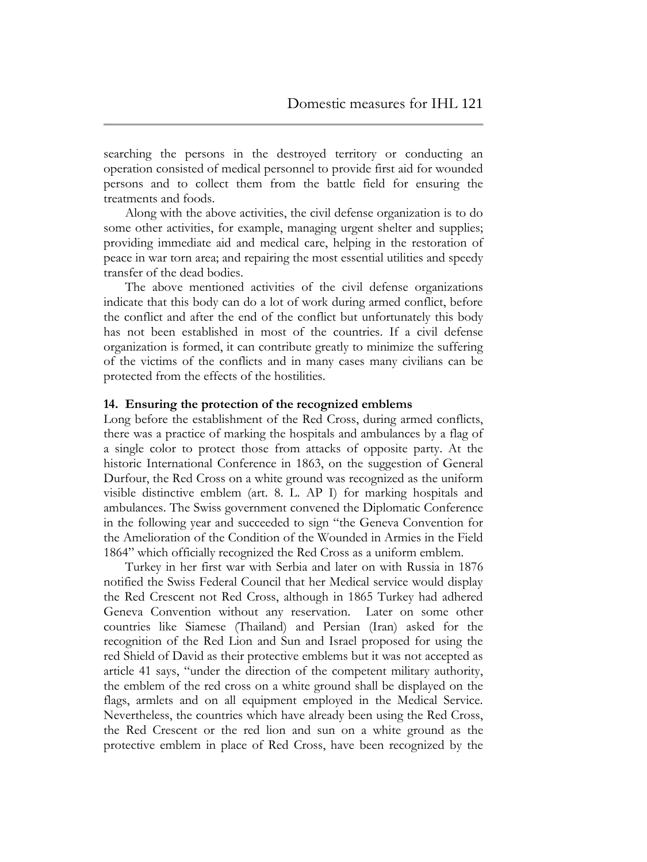searching the persons in the destroyed territory or conducting an operation consisted of medical personnel to provide first aid for wounded persons and to collect them from the battle field for ensuring the treatments and foods.

Along with the above activities, the civil defense organization is to do some other activities, for example, managing urgent shelter and supplies; providing immediate aid and medical care, helping in the restoration of peace in war torn area; and repairing the most essential utilities and speedy transfer of the dead bodies.

The above mentioned activities of the civil defense organizations indicate that this body can do a lot of work during armed conflict, before the conflict and after the end of the conflict but unfortunately this body has not been established in most of the countries. If a civil defense organization is formed, it can contribute greatly to minimize the suffering of the victims of the conflicts and in many cases many civilians can be protected from the effects of the hostilities.

#### **14. Ensuring the protection of the recognized emblems**

Long before the establishment of the Red Cross, during armed conflicts, there was a practice of marking the hospitals and ambulances by a flag of a single color to protect those from attacks of opposite party. At the historic International Conference in 1863, on the suggestion of General Durfour, the Red Cross on a white ground was recognized as the uniform visible distinctive emblem (art. 8. L. AP I) for marking hospitals and ambulances. The Swiss government convened the Diplomatic Conference in the following year and succeeded to sign "the Geneva Convention for the Amelioration of the Condition of the Wounded in Armies in the Field 1864" which officially recognized the Red Cross as a uniform emblem.

Turkey in her first war with Serbia and later on with Russia in 1876 notified the Swiss Federal Council that her Medical service would display the Red Crescent not Red Cross, although in 1865 Turkey had adhered Geneva Convention without any reservation. Later on some other countries like Siamese (Thailand) and Persian (Iran) asked for the recognition of the Red Lion and Sun and Israel proposed for using the red Shield of David as their protective emblems but it was not accepted as article 41 says, "under the direction of the competent military authority, the emblem of the red cross on a white ground shall be displayed on the flags, armlets and on all equipment employed in the Medical Service. Nevertheless, the countries which have already been using the Red Cross, the Red Crescent or the red lion and sun on a white ground as the protective emblem in place of Red Cross, have been recognized by the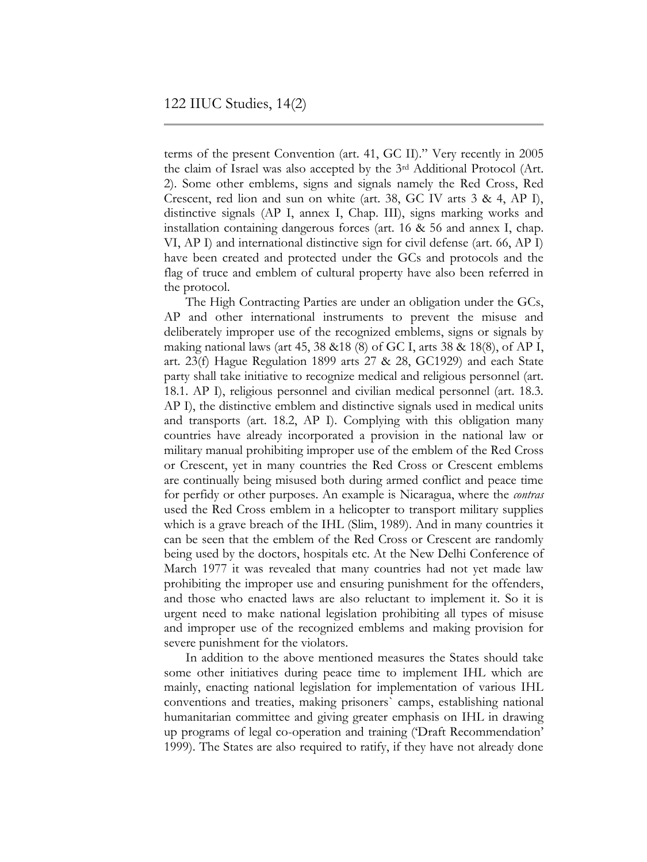terms of the present Convention (art. 41, GC II)." Very recently in 2005 the claim of Israel was also accepted by the 3rd Additional Protocol (Art. 2). Some other emblems, signs and signals namely the Red Cross, Red Crescent, red lion and sun on white (art. 38, GC IV arts 3 & 4, AP I), distinctive signals (AP I, annex I, Chap. III), signs marking works and installation containing dangerous forces (art. 16 & 56 and annex I, chap. VI, AP I) and international distinctive sign for civil defense (art. 66, AP I) have been created and protected under the GCs and protocols and the flag of truce and emblem of cultural property have also been referred in the protocol.

The High Contracting Parties are under an obligation under the GCs, AP and other international instruments to prevent the misuse and deliberately improper use of the recognized emblems, signs or signals by making national laws (art 45, 38 &18 (8) of GC I, arts 38 & 18(8), of AP I, art. 23(f) Hague Regulation 1899 arts 27 & 28, GC1929) and each State party shall take initiative to recognize medical and religious personnel (art. 18.1. AP I), religious personnel and civilian medical personnel (art. 18.3. AP I), the distinctive emblem and distinctive signals used in medical units and transports (art. 18.2, AP I). Complying with this obligation many countries have already incorporated a provision in the national law or military manual prohibiting improper use of the emblem of the Red Cross or Crescent, yet in many countries the Red Cross or Crescent emblems are continually being misused both during armed conflict and peace time for perfidy or other purposes. An example is Nicaragua, where the *contras* used the Red Cross emblem in a helicopter to transport military supplies which is a grave breach of the IHL (Slim, 1989). And in many countries it can be seen that the emblem of the Red Cross or Crescent are randomly being used by the doctors, hospitals etc. At the New Delhi Conference of March 1977 it was revealed that many countries had not yet made law prohibiting the improper use and ensuring punishment for the offenders, and those who enacted laws are also reluctant to implement it. So it is urgent need to make national legislation prohibiting all types of misuse and improper use of the recognized emblems and making provision for severe punishment for the violators.

In addition to the above mentioned measures the States should take some other initiatives during peace time to implement IHL which are mainly, enacting national legislation for implementation of various IHL conventions and treaties, making prisoners` camps, establishing national humanitarian committee and giving greater emphasis on IHL in drawing up programs of legal co-operation and training ("Draft Recommendation" 1999). The States are also required to ratify, if they have not already done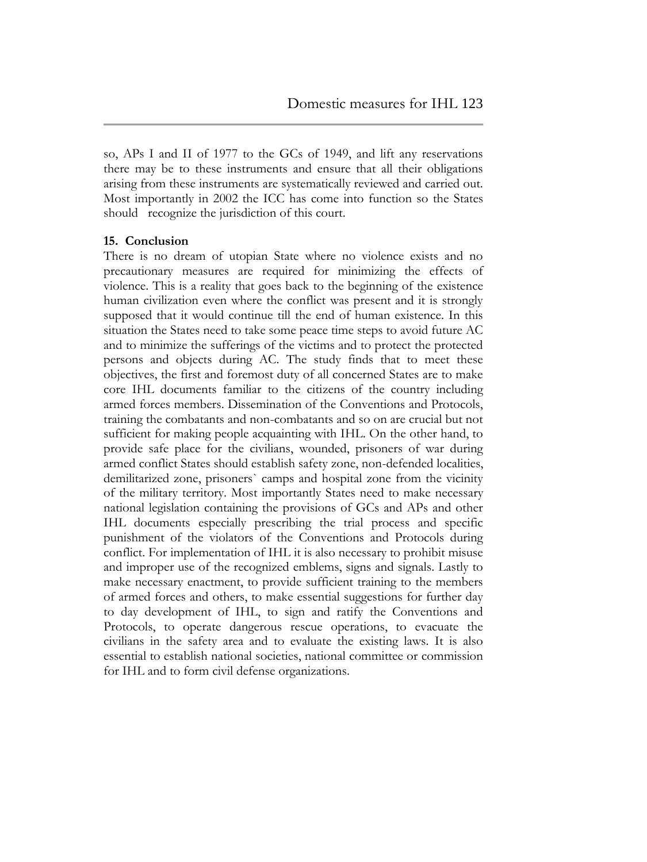so, APs I and II of 1977 to the GCs of 1949, and lift any reservations there may be to these instruments and ensure that all their obligations arising from these instruments are systematically reviewed and carried out. Most importantly in 2002 the ICC has come into function so the States should recognize the jurisdiction of this court.

#### **15. Conclusion**

There is no dream of utopian State where no violence exists and no precautionary measures are required for minimizing the effects of violence. This is a reality that goes back to the beginning of the existence human civilization even where the conflict was present and it is strongly supposed that it would continue till the end of human existence. In this situation the States need to take some peace time steps to avoid future AC and to minimize the sufferings of the victims and to protect the protected persons and objects during AC. The study finds that to meet these objectives, the first and foremost duty of all concerned States are to make core IHL documents familiar to the citizens of the country including armed forces members. Dissemination of the Conventions and Protocols, training the combatants and non-combatants and so on are crucial but not sufficient for making people acquainting with IHL. On the other hand, to provide safe place for the civilians, wounded, prisoners of war during armed conflict States should establish safety zone, non-defended localities, demilitarized zone, prisoners` camps and hospital zone from the vicinity of the military territory. Most importantly States need to make necessary national legislation containing the provisions of GCs and APs and other IHL documents especially prescribing the trial process and specific punishment of the violators of the Conventions and Protocols during conflict. For implementation of IHL it is also necessary to prohibit misuse and improper use of the recognized emblems, signs and signals. Lastly to make necessary enactment, to provide sufficient training to the members of armed forces and others, to make essential suggestions for further day to day development of IHL, to sign and ratify the Conventions and Protocols, to operate dangerous rescue operations, to evacuate the civilians in the safety area and to evaluate the existing laws. It is also essential to establish national societies, national committee or commission for IHL and to form civil defense organizations.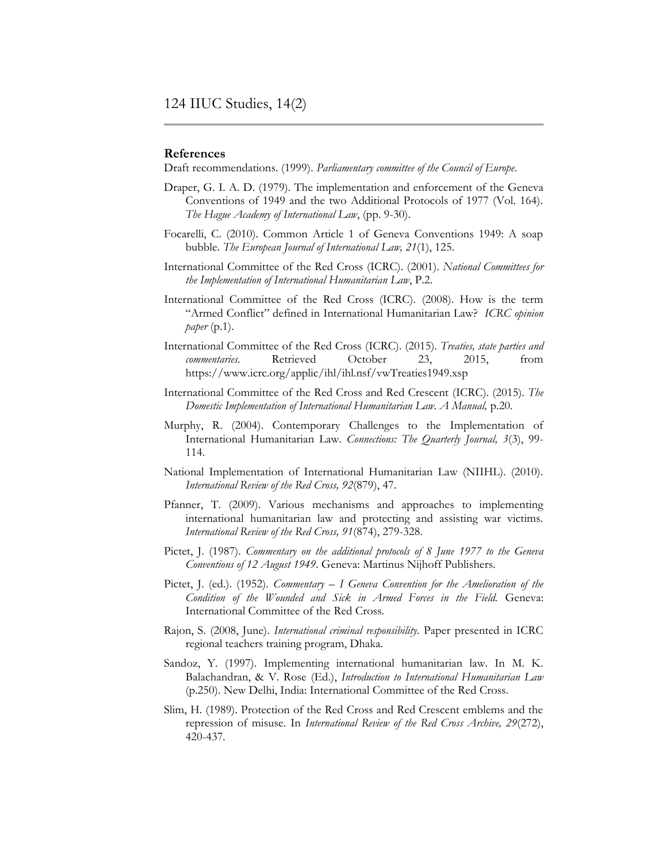#### **References**

Draft recommendations. (1999). *Parliamentary committee of the Council of Europe*.

- Draper, G. I. A. D. (1979). The implementation and enforcement of the Geneva Conventions of 1949 and the two Additional Protocols of 1977 (Vol. 164). *The Hague Academy of International Law*, (pp. 9-30).
- Focarelli, C. (2010). Common Article 1 of Geneva Conventions 1949: A soap bubble. *The European Journal of International Law, 21*(1), 125.
- International Committee of the Red Cross (ICRC). (2001). *National Committees for the Implementation of International Humanitarian Law*, P.2.
- International Committee of the Red Cross (ICRC). (2008). How is the term "Armed Conflict" defined in International Humanitarian Law? *ICRC opinion paper* (p.1).
- International Committee of the Red Cross (ICRC). (2015). *Treaties, state parties and commentaries.* Retrieved October 23, 2015, from <https://www.icrc.org/applic/ihl/ihl.nsf/vwTreaties1949.xsp>
- International Committee of the Red Cross and Red Crescent (ICRC). (2015). *The Domestic Implementation of International Humanitarian Law. A Manual,* p.20.
- Murphy, R. (2004). Contemporary Challenges to the Implementation of International Humanitarian Law. *Connections: The Quarterly Journal, 3*(3), 99- 114.
- National Implementation of International Humanitarian Law (NIIHL). (2010). *International Review of the Red Cross, 92*(879), 47.
- Pfanner, T. (2009). Various mechanisms and approaches to implementing international humanitarian law and protecting and assisting war victims. *International Review of the Red Cross, 91*(874), 279-328.
- Pictet, J. (1987). *Commentary on the additional protocols of 8 June 1977 to the Geneva Conventions of 12 August 1949*. Geneva: Martinus Nijhoff Publishers.
- Pictet, J. (ed.). (1952). *Commentary – I Geneva Convention for the Amelioration of the Condition of the Wounded and Sick in Armed Forces in the Field.* Geneva: International Committee of the Red Cross.
- Rajon, S. (2008, June). *International criminal responsibility.* Paper presented in ICRC regional teachers training program, Dhaka.
- Sandoz, Y. (1997). Implementing international humanitarian law. In M. K. Balachandran, & V. Rose (Ed.), *Introduction to International Humanitarian Law*  (p.250). New Delhi, India: International Committee of the Red Cross.
- Slim, H. (1989). Protection of the Red Cross and Red Crescent emblems and the repression of misuse. In *International Review of the Red Cross Archive, 29*(272), 420-437*.*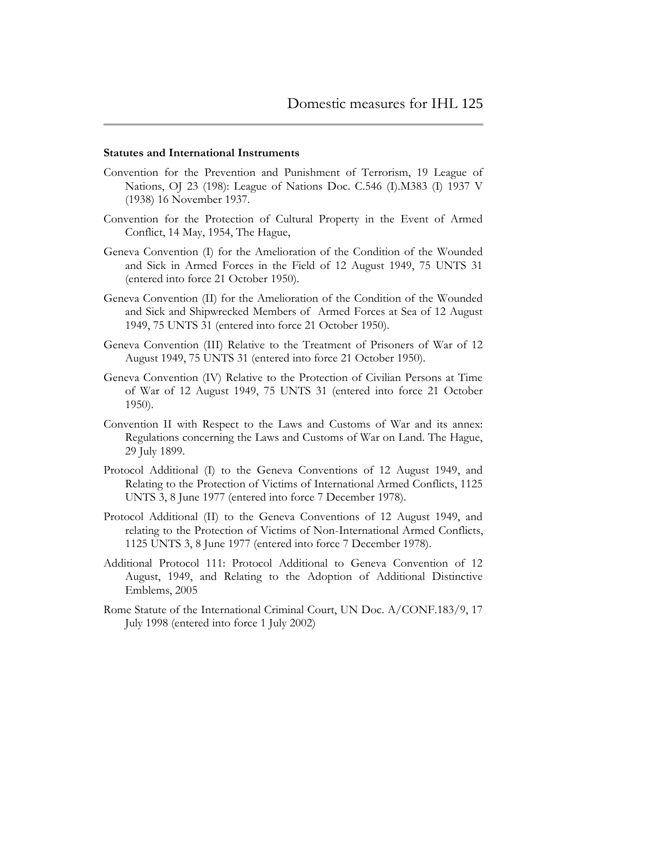#### **Statutes and International Instruments**

- Convention for the Prevention and Punishment of Terrorism, 19 League of Nations, OJ 23 (198): League of Nations Doc. C.546 (I).M383 (I) 1937 V (1938) 16 November 1937.
- Convention for the Protection of Cultural Property in the Event of Armed Conflict, 14 May, 1954, The Hague,
- Geneva Convention (I) for the Amelioration of the Condition of the Wounded and Sick in Armed Forces in the Field of 12 August 1949, 75 UNTS 31 (entered into force 21 October 1950).
- Geneva Convention (II) for the Amelioration of the Condition of the Wounded and Sick and Shipwrecked Members of Armed Forces at Sea of 12 August 1949, 75 UNTS 31 (entered into force 21 October 1950).
- Geneva Convention (III) Relative to the Treatment of Prisoners of War of 12 August 1949, 75 UNTS 31 (entered into force 21 October 1950).
- Geneva Convention (IV) Relative to the Protection of Civilian Persons at Time of War of 12 August 1949, 75 UNTS 31 (entered into force 21 October 1950).
- Convention II with Respect to the Laws and Customs of War and its annex: Regulations concerning the Laws and Customs of War on Land. The Hague, 29 July 1899.
- Protocol Additional (I) to the Geneva Conventions of 12 August 1949, and Relating to the Protection of Victims of International Armed Conflicts, 1125 UNTS 3, 8 June 1977 (entered into force 7 December 1978).
- Protocol Additional (II) to the Geneva Conventions of 12 August 1949, and relating to the Protection of Victims of Non-International Armed Conflicts, 1125 UNTS 3, 8 June 1977 (entered into force 7 December 1978).
- Additional Protocol 111: Protocol Additional to Geneva Convention of 12 August, 1949, and Relating to the Adoption of Additional Distinctive Emblems, 2005
- Rome Statute of the International Criminal Court, UN Doc. A/CONF.183/9, 17 July 1998 (entered into force 1 July 2002)